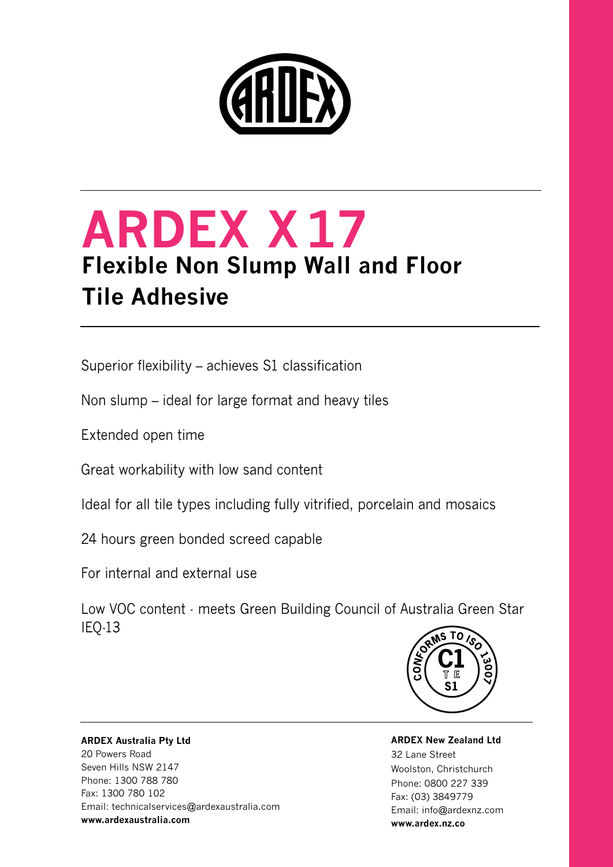

# **ARDEX X17 Flexible Non Slump Wall and Floor Tile Adhesive**

Superior flexibility – achieves S1 classification

Non slump – ideal for large format and heavy tiles

Extended open time

Great workability with low sand content

Ideal for all tile types including fully vitrified, porcelain and mosaics

24 hours green bonded screed capable

For internal and external use

Low VOC content - meets Green Building Council of Australia Green Star IEQ-13



## **ARDEX Australia Pty Ltd** 20 Powers Road Seven Hills NSW 2147 Phone: 1300 788 780 Fax: 1300 780 102 Email: technicalservices@ardexaustralia.com **www.ardexaustralia.com**

**ARDEX New Zealand Ltd**  32 Lane Street Woolston, Christchurch Phone: 0800 227 339 Fax: (03) 3849779 Email: info@ardexnz.com **www.ardex.nz.co**